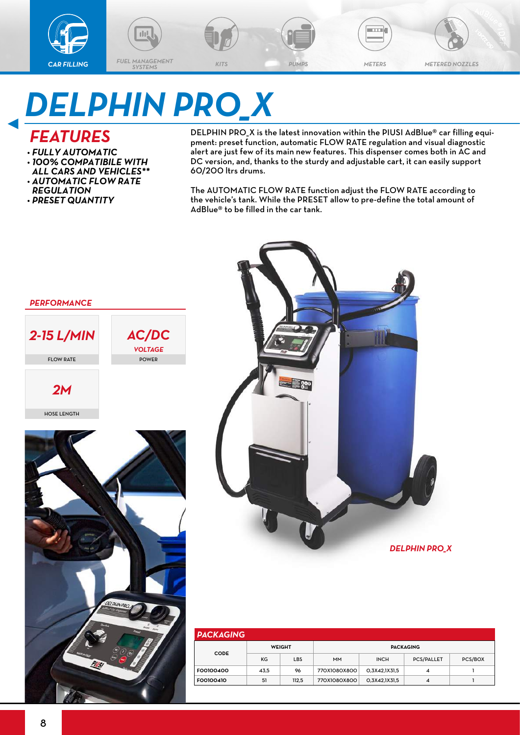



an k

# *DELPHIN PRO\_X*

### *FEATURES*

- *• FULLY AUTOMATIC*
- *• 100% COMPATIBILE WITH ALL CARS AND VEHICLES\*\**
- *• AUTOMATIC FLOW RATE REGULATION*
- *• PRESET QUANTITY*

DELPHIN PRO\_X is the latest innovation within the PIUSI AdBlue® car filling equipment: preset function, automatic FLOW RATE regulation and visual diagnostic alert are just few of its main new features. This dispenser comes both in AC and DC version, and, thanks to the sturdy and adjustable cart, it can easily support 60/200 ltrs drums.

The AUTOMATIC FLOW RATE function adjust the FLOW RATE according to the vehicle's tank. While the PRESET allow to pre-define the total amount of AdBlue® to be filled in the car tank.



| <b>PACKAGING</b> |               |            |              |                    |                   |         |  |  |  |  |  |  |
|------------------|---------------|------------|--------------|--------------------|-------------------|---------|--|--|--|--|--|--|
| <b>CODE</b>      | <b>WEIGHT</b> |            | PACKAGING    |                    |                   |         |  |  |  |  |  |  |
|                  | KG            | <b>LBS</b> | <b>MM</b>    | <b>INCH</b>        | <b>PCS/PALLET</b> | PCS/BOX |  |  |  |  |  |  |
| F00100400        | 43.5          | 96         | 770X1080X800 | O.3X42.1X31.5<br>4 |                   |         |  |  |  |  |  |  |
| F00100410        | 51            | 112.5      | 770X1080X800 | O,3X42,1X31,5      | 4                 |         |  |  |  |  |  |  |